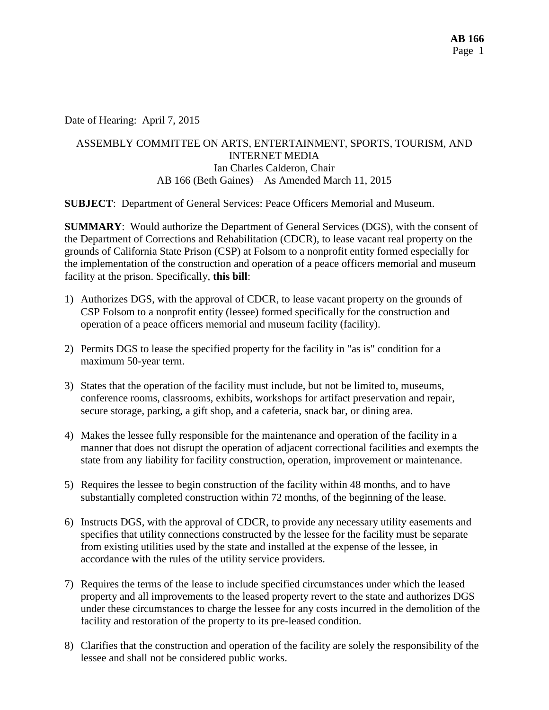Date of Hearing: April 7, 2015

# ASSEMBLY COMMITTEE ON ARTS, ENTERTAINMENT, SPORTS, TOURISM, AND INTERNET MEDIA Ian Charles Calderon, Chair AB 166 (Beth Gaines) – As Amended March 11, 2015

**SUBJECT**: Department of General Services: Peace Officers Memorial and Museum.

**SUMMARY**: Would authorize the Department of General Services (DGS), with the consent of the Department of Corrections and Rehabilitation (CDCR), to lease vacant real property on the grounds of California State Prison (CSP) at Folsom to a nonprofit entity formed especially for the implementation of the construction and operation of a peace officers memorial and museum facility at the prison. Specifically, **this bill**:

- 1) Authorizes DGS, with the approval of CDCR, to lease vacant property on the grounds of CSP Folsom to a nonprofit entity (lessee) formed specifically for the construction and operation of a peace officers memorial and museum facility (facility).
- 2) Permits DGS to lease the specified property for the facility in "as is" condition for a maximum 50-year term.
- 3) States that the operation of the facility must include, but not be limited to, museums, conference rooms, classrooms, exhibits, workshops for artifact preservation and repair, secure storage, parking, a gift shop, and a cafeteria, snack bar, or dining area.
- 4) Makes the lessee fully responsible for the maintenance and operation of the facility in a manner that does not disrupt the operation of adjacent correctional facilities and exempts the state from any liability for facility construction, operation, improvement or maintenance.
- 5) Requires the lessee to begin construction of the facility within 48 months, and to have substantially completed construction within 72 months, of the beginning of the lease.
- 6) Instructs DGS, with the approval of CDCR, to provide any necessary utility easements and specifies that utility connections constructed by the lessee for the facility must be separate from existing utilities used by the state and installed at the expense of the lessee, in accordance with the rules of the utility service providers.
- 7) Requires the terms of the lease to include specified circumstances under which the leased property and all improvements to the leased property revert to the state and authorizes DGS under these circumstances to charge the lessee for any costs incurred in the demolition of the facility and restoration of the property to its pre-leased condition.
- 8) Clarifies that the construction and operation of the facility are solely the responsibility of the lessee and shall not be considered public works.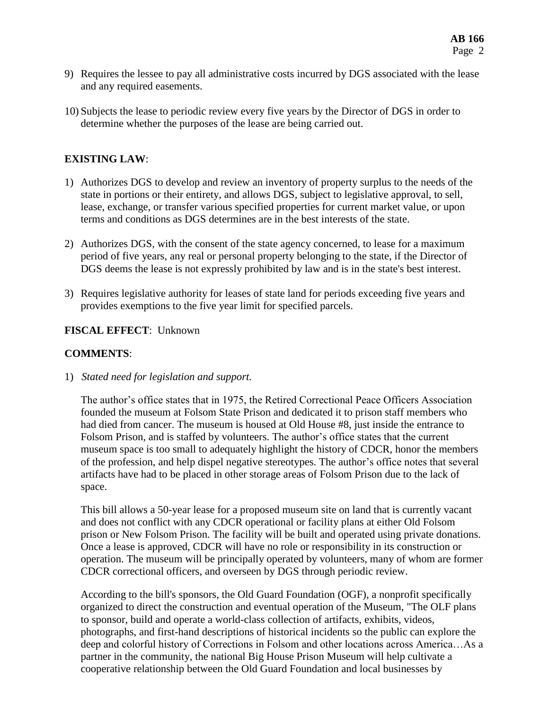- 9) Requires the lessee to pay all administrative costs incurred by DGS associated with the lease and any required easements.
- 10) Subjects the lease to periodic review every five years by the Director of DGS in order to determine whether the purposes of the lease are being carried out.

### **EXISTING LAW**:

- 1) Authorizes DGS to develop and review an inventory of property surplus to the needs of the state in portions or their entirety, and allows DGS, subject to legislative approval, to sell, lease, exchange, or transfer various specified properties for current market value, or upon terms and conditions as DGS determines are in the best interests of the state.
- 2) Authorizes DGS, with the consent of the state agency concerned, to lease for a maximum period of five years, any real or personal property belonging to the state, if the Director of DGS deems the lease is not expressly prohibited by law and is in the state's best interest.
- 3) Requires legislative authority for leases of state land for periods exceeding five years and provides exemptions to the five year limit for specified parcels.

### **FISCAL EFFECT**: Unknown

### **COMMENTS**:

1) *Stated need for legislation and support.*

The author's office states that in 1975, the Retired Correctional Peace Officers Association founded the museum at Folsom State Prison and dedicated it to prison staff members who had died from cancer. The museum is housed at Old House #8, just inside the entrance to Folsom Prison, and is staffed by volunteers. The author's office states that the current museum space is too small to adequately highlight the history of CDCR, honor the members of the profession, and help dispel negative stereotypes. The author's office notes that several artifacts have had to be placed in other storage areas of Folsom Prison due to the lack of space.

This bill allows a 50-year lease for a proposed museum site on land that is currently vacant and does not conflict with any CDCR operational or facility plans at either Old Folsom prison or New Folsom Prison. The facility will be built and operated using private donations. Once a lease is approved, CDCR will have no role or responsibility in its construction or operation. The museum will be principally operated by volunteers, many of whom are former CDCR correctional officers, and overseen by DGS through periodic review.

According to the bill's sponsors, the Old Guard Foundation (OGF), a nonprofit specifically organized to direct the construction and eventual operation of the Museum, "The OLF plans to sponsor, build and operate a world-class collection of artifacts, exhibits, videos, photographs, and first-hand descriptions of historical incidents so the public can explore the deep and colorful history of Corrections in Folsom and other locations across America…As a partner in the community, the national Big House Prison Museum will help cultivate a cooperative relationship between the Old Guard Foundation and local businesses by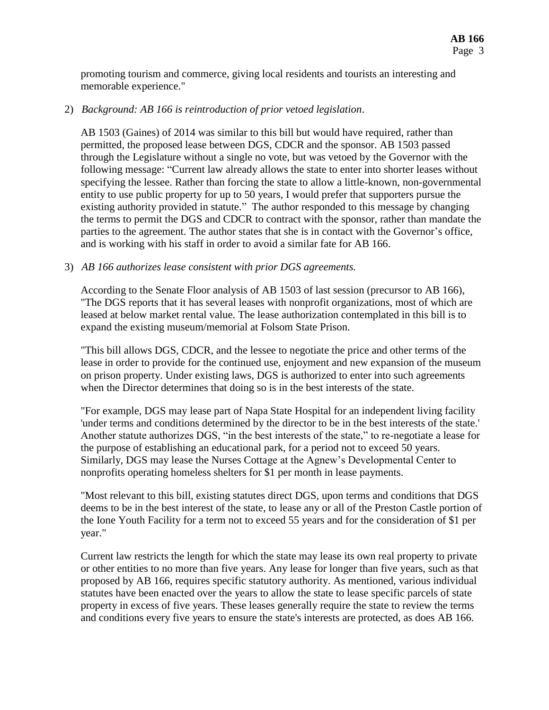promoting tourism and commerce, giving local residents and tourists an interesting and memorable experience."

#### 2) *Background: AB 166 is reintroduction of prior vetoed legislation*.

AB 1503 (Gaines) of 2014 was similar to this bill but would have required, rather than permitted, the proposed lease between DGS, CDCR and the sponsor. AB 1503 passed through the Legislature without a single no vote, but was vetoed by the Governor with the following message: "Current law already allows the state to enter into shorter leases without specifying the lessee. Rather than forcing the state to allow a little-known, non-governmental entity to use public property for up to 50 years, I would prefer that supporters pursue the existing authority provided in statute." The author responded to this message by changing the terms to permit the DGS and CDCR to contract with the sponsor, rather than mandate the parties to the agreement. The author states that she is in contact with the Governor's office, and is working with his staff in order to avoid a similar fate for AB 166.

#### 3) *AB 166 authorizes lease consistent with prior DGS agreements.*

According to the Senate Floor analysis of AB 1503 of last session (precursor to AB 166), "The DGS reports that it has several leases with nonprofit organizations, most of which are leased at below market rental value. The lease authorization contemplated in this bill is to expand the existing museum/memorial at Folsom State Prison.

"This bill allows DGS, CDCR, and the lessee to negotiate the price and other terms of the lease in order to provide for the continued use, enjoyment and new expansion of the museum on prison property. Under existing laws, DGS is authorized to enter into such agreements when the Director determines that doing so is in the best interests of the state.

"For example, DGS may lease part of Napa State Hospital for an independent living facility 'under terms and conditions determined by the director to be in the best interests of the state.' Another statute authorizes DGS, "in the best interests of the state," to re-negotiate a lease for the purpose of establishing an educational park, for a period not to exceed 50 years. Similarly, DGS may lease the Nurses Cottage at the Agnew's Developmental Center to nonprofits operating homeless shelters for \$1 per month in lease payments.

"Most relevant to this bill, existing statutes direct DGS, upon terms and conditions that DGS deems to be in the best interest of the state, to lease any or all of the Preston Castle portion of the Ione Youth Facility for a term not to exceed 55 years and for the consideration of \$1 per year."

Current law restricts the length for which the state may lease its own real property to private or other entities to no more than five years. Any lease for longer than five years, such as that proposed by AB 166, requires specific statutory authority. As mentioned, various individual statutes have been enacted over the years to allow the state to lease specific parcels of state property in excess of five years. These leases generally require the state to review the terms and conditions every five years to ensure the state's interests are protected, as does AB 166.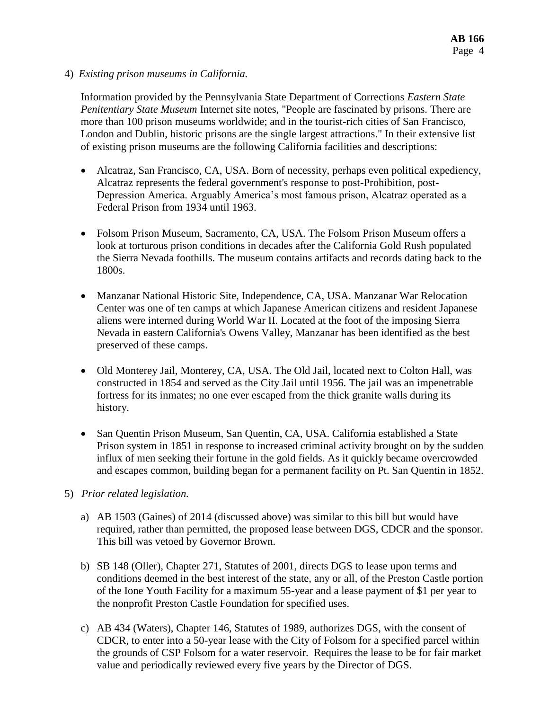4) *Existing prison museums in California.*

Information provided by the Pennsylvania State Department of Corrections *Eastern State Penitentiary State Museum* Internet site notes, "People are fascinated by prisons. There are more than 100 prison museums worldwide; and in the tourist-rich cities of San Francisco, London and Dublin, historic prisons are the single largest attractions." In their extensive list of existing prison museums are the following California facilities and descriptions:

- Alcatraz, San Francisco, CA, USA. Born of necessity, perhaps even political expediency, Alcatraz represents the federal government's response to post-Prohibition, post-Depression America. Arguably America's most famous prison, Alcatraz operated as a Federal Prison from 1934 until 1963.
- Folsom Prison Museum, Sacramento, CA, USA. The Folsom Prison Museum offers a look at torturous prison conditions in decades after the California Gold Rush populated the Sierra Nevada foothills. The museum contains artifacts and records dating back to the 1800s.
- Manzanar National Historic Site, Independence, CA, USA. Manzanar War Relocation Center was one of ten camps at which Japanese American citizens and resident Japanese aliens were interned during World War II. Located at the foot of the imposing Sierra Nevada in eastern California's Owens Valley, Manzanar has been identified as the best preserved of these camps.
- Old Monterey Jail, Monterey, CA, USA. The Old Jail, located next to Colton Hall, was constructed in 1854 and served as the City Jail until 1956. The jail was an impenetrable fortress for its inmates; no one ever escaped from the thick granite walls during its history.
- San Quentin Prison Museum, San Quentin, CA, USA. California established a State Prison system in 1851 in response to increased criminal activity brought on by the sudden influx of men seeking their fortune in the gold fields. As it quickly became overcrowded and escapes common, building began for a permanent facility on Pt. San Quentin in 1852.
- 5) *Prior related legislation.*
	- a) AB 1503 (Gaines) of 2014 (discussed above) was similar to this bill but would have required, rather than permitted, the proposed lease between DGS, CDCR and the sponsor. This bill was vetoed by Governor Brown.
	- b) SB 148 (Oller), Chapter 271, Statutes of 2001, directs DGS to lease upon terms and conditions deemed in the best interest of the state, any or all, of the Preston Castle portion of the Ione Youth Facility for a maximum 55-year and a lease payment of \$1 per year to the nonprofit Preston Castle Foundation for specified uses.
	- c) AB 434 (Waters), Chapter 146, Statutes of 1989, authorizes DGS, with the consent of CDCR, to enter into a 50-year lease with the City of Folsom for a specified parcel within the grounds of CSP Folsom for a water reservoir. Requires the lease to be for fair market value and periodically reviewed every five years by the Director of DGS.